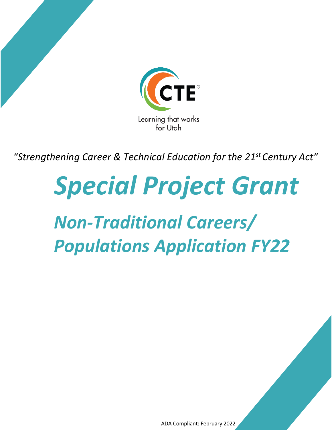

*"Strengthening Career & Technical Education for the 21st Century Act"* 

# *Special Project Grant*

## *Non-Traditional Careers/ Populations Application FY22*

ADA Compliant: February 2022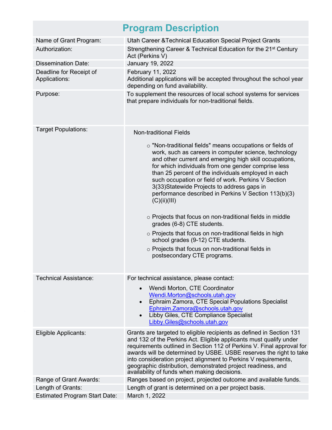### **Program Description**

| Name of Grant Program:                   | Utah Career & Technical Education Special Project Grants                                                                                                                                                                                                                                                                                                                                                                                                                                                                                                                                                                                                                                                                                                                                               |
|------------------------------------------|--------------------------------------------------------------------------------------------------------------------------------------------------------------------------------------------------------------------------------------------------------------------------------------------------------------------------------------------------------------------------------------------------------------------------------------------------------------------------------------------------------------------------------------------------------------------------------------------------------------------------------------------------------------------------------------------------------------------------------------------------------------------------------------------------------|
| Authorization:                           | Strengthening Career & Technical Education for the 21 <sup>st</sup> Century<br>Act (Perkins V)                                                                                                                                                                                                                                                                                                                                                                                                                                                                                                                                                                                                                                                                                                         |
| <b>Dissemination Date:</b>               | January 19, 2022                                                                                                                                                                                                                                                                                                                                                                                                                                                                                                                                                                                                                                                                                                                                                                                       |
| Deadline for Receipt of<br>Applications: | February 11, 2022<br>Additional applications will be accepted throughout the school year<br>depending on fund availability.                                                                                                                                                                                                                                                                                                                                                                                                                                                                                                                                                                                                                                                                            |
| Purpose:                                 | To supplement the resources of local school systems for services<br>that prepare individuals for non-traditional fields.                                                                                                                                                                                                                                                                                                                                                                                                                                                                                                                                                                                                                                                                               |
| <b>Target Populations:</b>               | <b>Non-traditional Fields</b><br>o "Non-traditional fields" means occupations or fields of<br>work, such as careers in computer science, technology<br>and other current and emerging high skill occupations,<br>for which individuals from one gender comprise less<br>than 25 percent of the individuals employed in each<br>such occupation or field of work. Perkins V Section<br>3(33) Statewide Projects to address gaps in<br>performance described in Perkins V Section 113(b)(3)<br>(C)(ii)(III)<br>$\circ$ Projects that focus on non-traditional fields in middle<br>grades (6-8) CTE students.<br>$\circ$ Projects that focus on non-traditional fields in high<br>school grades (9-12) CTE students.<br>o Projects that focus on non-traditional fields in<br>postsecondary CTE programs. |
| <b>Technical Assistance:</b>             | For technical assistance, please contact:<br>Wendi Morton, CTE Coordinator<br>Wendi.Morton@schools.utah.gov<br>Ephraim Zamora, CTE Special Populations Specialist<br>Ephraim.Zamora@schools.utah.gov<br>Libby Giles, CTE Compliance Specialist<br>Libby.Giles@schools.utah.gov                                                                                                                                                                                                                                                                                                                                                                                                                                                                                                                         |
| Eligible Applicants:                     | Grants are targeted to eligible recipients as defined in Section 131<br>and 132 of the Perkins Act. Eligible applicants must qualify under<br>requirements outlined in Section 112 of Perkins V. Final approval for<br>awards will be determined by USBE. USBE reserves the right to take<br>into consideration project alignment to Perkins V requirements,<br>geographic distribution, demonstrated project readiness, and<br>availability of funds when making decisions.                                                                                                                                                                                                                                                                                                                           |
| Range of Grant Awards:                   | Ranges based on project, projected outcome and available funds.                                                                                                                                                                                                                                                                                                                                                                                                                                                                                                                                                                                                                                                                                                                                        |
| Length of Grants:                        | Length of grant is determined on a per project basis.                                                                                                                                                                                                                                                                                                                                                                                                                                                                                                                                                                                                                                                                                                                                                  |
| <b>Estimated Program Start Date:</b>     | March 1, 2022                                                                                                                                                                                                                                                                                                                                                                                                                                                                                                                                                                                                                                                                                                                                                                                          |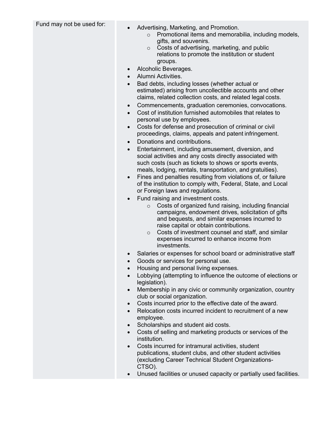- Fund may not be used for:<br>
Advertising, Marketing, and Promotion.
	- o Promotional items and memorabilia, including models, gifts, and souvenirs.
	- o Costs of advertising, marketing, and public relations to promote the institution or student groups.
	- Alcoholic Beverages.
	- Alumni Activities.
	- Bad debts, including losses (whether actual or estimated) arising from uncollectible accounts and other claims, related collection costs, and related legal costs.
	- Commencements, graduation ceremonies, convocations.
	- Cost of institution furnished automobiles that relates to personal use by employees.
	- Costs for defense and prosecution of criminal or civil proceedings, claims, appeals and patent infringement.
	- Donations and contributions.
	- Entertainment, including amusement, diversion, and social activities and any costs directly associated with such costs (such as tickets to shows or sports events, meals, lodging, rentals, transportation, and gratuities).
	- Fines and penalties resulting from violations of, or failure of the institution to comply with, Federal, State, and Local or Foreign laws and regulations.
	- Fund raising and investment costs.
		- o Costs of organized fund raising, including financial campaigns, endowment drives, solicitation of gifts and bequests, and similar expenses incurred to raise capital or obtain contributions.
		- o Costs of investment counsel and staff, and similar expenses incurred to enhance income from investments.
	- Salaries or expenses for school board or administrative staff
	- Goods or services for personal use.
	- Housing and personal living expenses.
	- Lobbying (attempting to influence the outcome of elections or legislation).
	- Membership in any civic or community organization, country club or social organization.
	- Costs incurred prior to the effective date of the award.
	- Relocation costs incurred incident to recruitment of a new employee.
	- Scholarships and student aid costs.
	- Costs of selling and marketing products or services of the institution.
	- Costs incurred for intramural activities, student publications, student clubs, and other student activities (excluding Career Technical Student Organizations-CTSO).
	- Unused facilities or unused capacity or partially used facilities.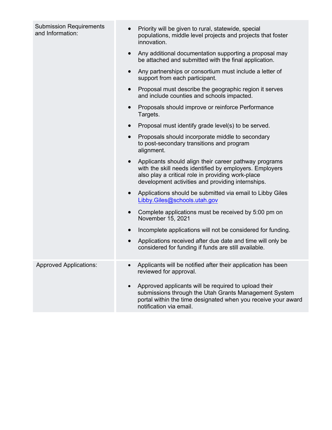| <b>Submission Requirements</b><br>and Information: | Priority will be given to rural, statewide, special<br>populations, middle level projects and projects that foster<br>innovation.                                                                                                       |  |  |  |  |  |
|----------------------------------------------------|-----------------------------------------------------------------------------------------------------------------------------------------------------------------------------------------------------------------------------------------|--|--|--|--|--|
|                                                    | Any additional documentation supporting a proposal may<br>$\bullet$<br>be attached and submitted with the final application.                                                                                                            |  |  |  |  |  |
|                                                    | Any partnerships or consortium must include a letter of<br>$\bullet$<br>support from each participant.                                                                                                                                  |  |  |  |  |  |
|                                                    | Proposal must describe the geographic region it serves<br>$\bullet$<br>and include counties and schools impacted.                                                                                                                       |  |  |  |  |  |
|                                                    | Proposals should improve or reinforce Performance<br>$\bullet$<br>Targets.                                                                                                                                                              |  |  |  |  |  |
|                                                    | Proposal must identify grade level(s) to be served.<br>$\bullet$                                                                                                                                                                        |  |  |  |  |  |
|                                                    | Proposals should incorporate middle to secondary<br>$\bullet$<br>to post-secondary transitions and program<br>alignment.                                                                                                                |  |  |  |  |  |
|                                                    | Applicants should align their career pathway programs<br>$\bullet$<br>with the skill needs identified by employers. Employers<br>also play a critical role in providing work-place<br>development activities and providing internships. |  |  |  |  |  |
|                                                    | Applications should be submitted via email to Libby Giles<br>$\bullet$<br>Libby.Giles@schools.utah.gov                                                                                                                                  |  |  |  |  |  |
|                                                    | Complete applications must be received by 5:00 pm on<br>$\bullet$<br>November 15, 2021                                                                                                                                                  |  |  |  |  |  |
|                                                    | Incomplete applications will not be considered for funding.<br>$\bullet$                                                                                                                                                                |  |  |  |  |  |
|                                                    | Applications received after due date and time will only be<br>$\bullet$<br>considered for funding if funds are still available.                                                                                                         |  |  |  |  |  |
| <b>Approved Applications:</b>                      | Applicants will be notified after their application has been<br>reviewed for approval.                                                                                                                                                  |  |  |  |  |  |
|                                                    | Approved applicants will be required to upload their<br>$\bullet$<br>submissions through the Utah Grants Management System<br>portal within the time designated when you receive your award<br>notification via email.                  |  |  |  |  |  |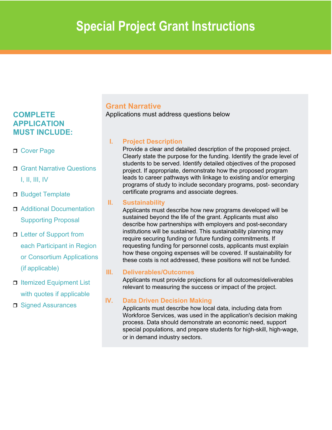### **COMPLETE APPLICATION MUST INCLUDE:**

- D Cover Page
- **□ Grant Narrative Questions** I, II, III, IV
- □ Budget Template
- □ Additional Documentation Supporting Proposal
- □ Letter of Support from each Participant in Region or Consortium Applications (if applicable)
- $\Box$  Itemized Equipment List with quotes if applicable
- □ Signed Assurances

### **Grant Narrative**

Applications must address questions below

### **I. Project Description**

Provide a clear and detailed description of the proposed project. Clearly state the purpose for the funding. Identify the grade level of students to be served. Identify detailed objectives of the proposed project. If appropriate, demonstrate how the proposed program leads to career pathways with linkage to existing and/or emerging programs of study to include secondary programs, post- secondary certificate programs and associate degrees.

#### **II. Sustainability**

 these costs is not addressed, these positions will not be funded. Applicants must describe how new programs developed will be sustained beyond the life of the grant. Applicants must also describe how partnerships with employers and post-secondary institutions will be sustained. This sustainability planning may require securing funding or future funding commitments. If requesting funding for personnel costs, applicants must explain how these ongoing expenses will be covered. If sustainability for

#### **III. Deliverables/Outcomes**

Applicants must provide projections for all outcomes/deliverables relevant to measuring the success or impact of the project.

### **IV. Data Driven Decision Making**

Applicants must describe how local data, including data from Workforce Services, was used in the application's decision making process. Data should demonstrate an economic need, support special populations, and prepare students for high-skill, high-wage, or in demand industry sectors.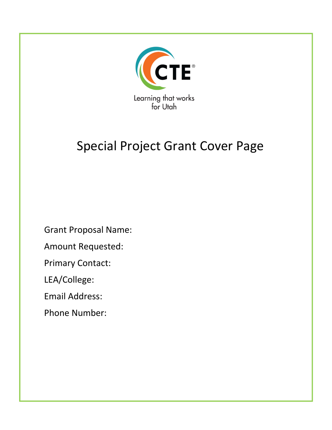

### Special Project Grant Cover Page

Grant Proposal Name:

Amount Requested:

Primary Contact:

LEA/College:

Email Address:

Phone Number: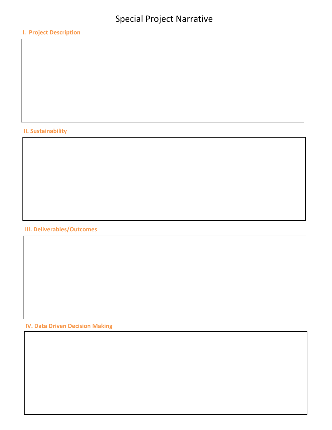### **I. Project Description**

### **II. Sustainability**

### **III. Deliverables/Outcomes**

**IV. Data Driven Decision Making**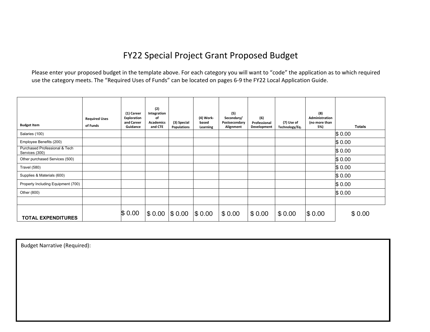### FY22 Special Project Grant Proposed Budget

 Please enter your proposed budget in the template above. For each category you will want to "code" the application as to which required use the category meets. The "Required Uses of Funds" can be located on pages 6-9 the FY22 Local Application Guide.

| <b>Budget Item</b>                              | <b>Required Uses</b><br>of Funds | (1) Career<br>Exploration<br>and Career<br>Guidance | (2)<br>Integration<br>of<br><b>Academics</b><br>and CTE | (3) Special<br><b>Populations</b> | (4) Work-<br>based<br>Learning | (5)<br>Secondary/<br>Postsecondary<br>Alignment | (6)<br>Professional<br>Development | (7) Use of<br>Technology/Eq. | (8)<br>Administration<br>(no more than<br>5%) | <b>Totals</b> |
|-------------------------------------------------|----------------------------------|-----------------------------------------------------|---------------------------------------------------------|-----------------------------------|--------------------------------|-------------------------------------------------|------------------------------------|------------------------------|-----------------------------------------------|---------------|
| Salaries (100)                                  |                                  |                                                     |                                                         |                                   |                                |                                                 |                                    |                              |                                               | \$0.00        |
| Employee Benefits (200)                         |                                  |                                                     |                                                         |                                   |                                |                                                 |                                    |                              |                                               | \$0.00        |
| Purchased Professional & Tech<br>Services (300) |                                  |                                                     |                                                         |                                   |                                |                                                 |                                    |                              |                                               | \$0.00        |
| Other purchased Services (500)                  |                                  |                                                     |                                                         |                                   |                                |                                                 |                                    |                              |                                               | \$0.00        |
| Travel (580)                                    |                                  |                                                     |                                                         |                                   |                                |                                                 |                                    |                              |                                               | \$0.00        |
| Supplies & Materials (600)                      |                                  |                                                     |                                                         |                                   |                                |                                                 |                                    |                              |                                               | \$0.00        |
| Property Including Equipment (700)              |                                  |                                                     |                                                         |                                   |                                |                                                 |                                    |                              |                                               | \$0.00        |
| Other (800)                                     |                                  |                                                     |                                                         |                                   |                                |                                                 |                                    |                              |                                               | \$0.00        |
|                                                 |                                  |                                                     |                                                         |                                   |                                |                                                 |                                    |                              |                                               |               |
| <b>TOTAL EXPENDITURES</b>                       |                                  | \$0.00                                              | \$0.00                                                  | $\$0.00$                          | \$0.00                         | \$0.00                                          | \$0.00                             | \$0.00                       | \$0.00                                        | \$0.00        |

Budget Narrative (Required):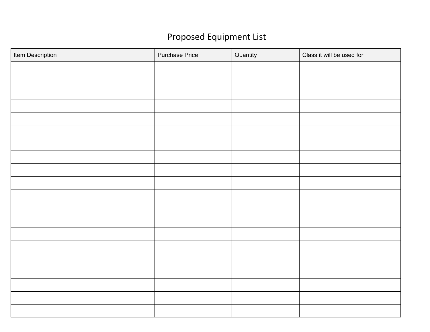### Proposed Equipment List

| Item Description | <b>Purchase Price</b> | Quantity | Class it will be used for |
|------------------|-----------------------|----------|---------------------------|
|                  |                       |          |                           |
|                  |                       |          |                           |
|                  |                       |          |                           |
|                  |                       |          |                           |
|                  |                       |          |                           |
|                  |                       |          |                           |
|                  |                       |          |                           |
|                  |                       |          |                           |
|                  |                       |          |                           |
|                  |                       |          |                           |
|                  |                       |          |                           |
|                  |                       |          |                           |
|                  |                       |          |                           |
|                  |                       |          |                           |
|                  |                       |          |                           |
|                  |                       |          |                           |
|                  |                       |          |                           |
|                  |                       |          |                           |
|                  |                       |          |                           |
|                  |                       |          |                           |